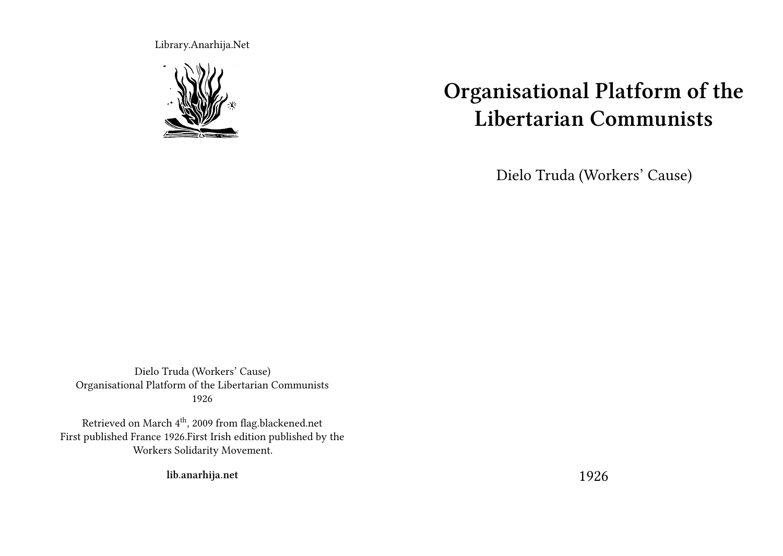Library.Anarhija.Net



# **Organisational Platform of the Libertarian Communists**

Dielo Truda (Workers' Cause)

Dielo Truda (Workers' Cause) Organisational Platform of the Libertarian Communists 1926

Retrieved on March  $4^{\rm th}$ , 2009 from flag.blackened.net First published France 1926.First Irish edition published by the Workers Solidarity Movement.

**lib.anarhija.net**

1926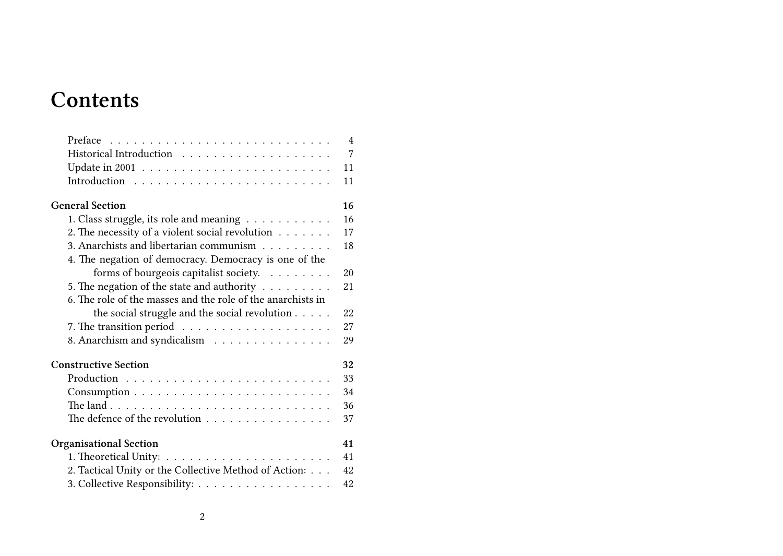# **Contents**

|                                                                   | $\overline{4}$ |
|-------------------------------------------------------------------|----------------|
|                                                                   | 7              |
|                                                                   | 11             |
|                                                                   | 11             |
| <b>General Section</b>                                            | 16             |
| 1. Class struggle, its role and meaning                           | 16             |
| 2. The necessity of a violent social revolution                   | 17             |
| 3. Anarchists and libertarian communism                           | 18             |
| 4. The negation of democracy. Democracy is one of the             |                |
| forms of bourgeois capitalist society.                            | 20             |
| 5. The negation of the state and authority $\ldots \ldots \ldots$ | 21             |
| 6. The role of the masses and the role of the anarchists in       |                |
| the social struggle and the social revolution $\ldots$ .          | 22             |
|                                                                   | 27             |
| 8. Anarchism and syndicalism                                      | 29             |
| <b>Constructive Section</b>                                       | 32             |
|                                                                   | 33             |
|                                                                   | 34             |
|                                                                   | 36             |
| The defence of the revolution                                     | 37             |
| <b>Organisational Section</b>                                     | 41             |
|                                                                   | 41             |
| 2. Tactical Unity or the Collective Method of Action:             | 42             |
| 3. Collective Responsibility:                                     | 42             |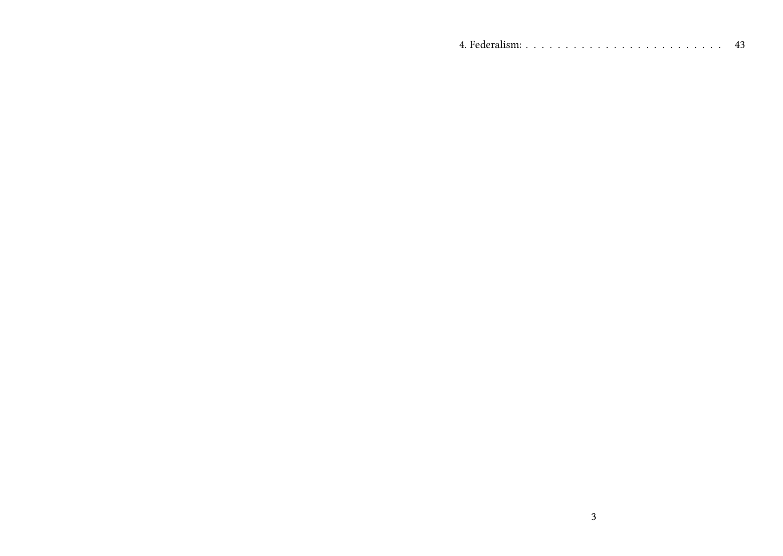|  |  |  |  | 43 |
|--|--|--|--|----|
|--|--|--|--|----|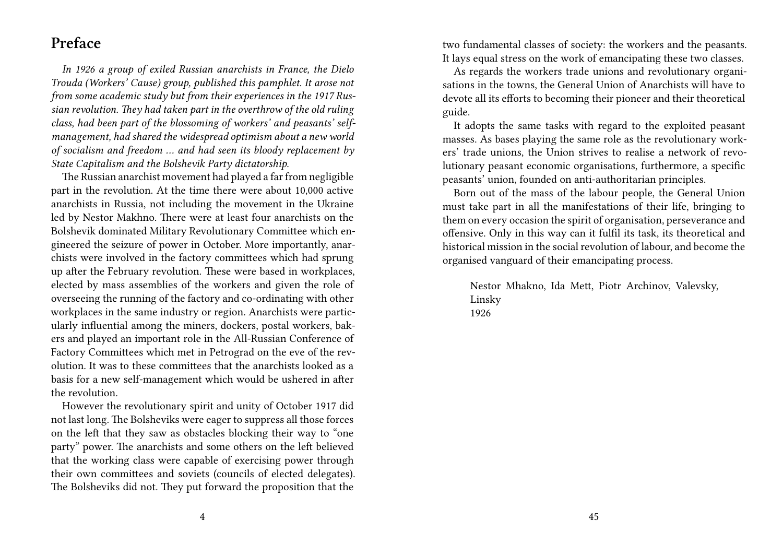#### **Preface**

*In 1926 a group of exiled Russian anarchists in France, the Dielo Trouda (Workers' Cause) group, published this pamphlet. It arose not from some academic study but from their experiences in the 1917 Russian revolution. They had taken part in the overthrow of the old ruling class, had been part of the blossoming of workers' and peasants' selfmanagement, had shared the widespread optimism about a new world of socialism and freedom … and had seen its bloody replacement by State Capitalism and the Bolshevik Party dictatorship.*

The Russian anarchist movement had played a far from negligible part in the revolution. At the time there were about 10,000 active anarchists in Russia, not including the movement in the Ukraine led by Nestor Makhno. There were at least four anarchists on the Bolshevik dominated Military Revolutionary Committee which engineered the seizure of power in October. More importantly, anarchists were involved in the factory committees which had sprung up after the February revolution. These were based in workplaces, elected by mass assemblies of the workers and given the role of overseeing the running of the factory and co-ordinating with other workplaces in the same industry or region. Anarchists were particularly influential among the miners, dockers, postal workers, bakers and played an important role in the All-Russian Conference of Factory Committees which met in Petrograd on the eve of the revolution. It was to these committees that the anarchists looked as a basis for a new self-management which would be ushered in after the revolution.

However the revolutionary spirit and unity of October 1917 did not last long. The Bolsheviks were eager to suppress all those forces on the left that they saw as obstacles blocking their way to "one party" power. The anarchists and some others on the left believed that the working class were capable of exercising power through their own committees and soviets (councils of elected delegates). The Bolsheviks did not. They put forward the proposition that the

two fundamental classes of society: the workers and the peasants. It lays equal stress on the work of emancipating these two classes.

As regards the workers trade unions and revolutionary organisations in the towns, the General Union of Anarchists will have to devote all its efforts to becoming their pioneer and their theoretical guide.

It adopts the same tasks with regard to the exploited peasant masses. As bases playing the same role as the revolutionary workers' trade unions, the Union strives to realise a network of revolutionary peasant economic organisations, furthermore, a specific peasants' union, founded on anti-authoritarian principles.

Born out of the mass of the labour people, the General Union must take part in all the manifestations of their life, bringing to them on every occasion the spirit of organisation, perseverance and offensive. Only in this way can it fulfil its task, its theoretical and historical mission in the social revolution of labour, and become the organised vanguard of their emancipating process.

Nestor Mhakno, Ida Mett, Piotr Archinov, Valevsky, Linsky 1926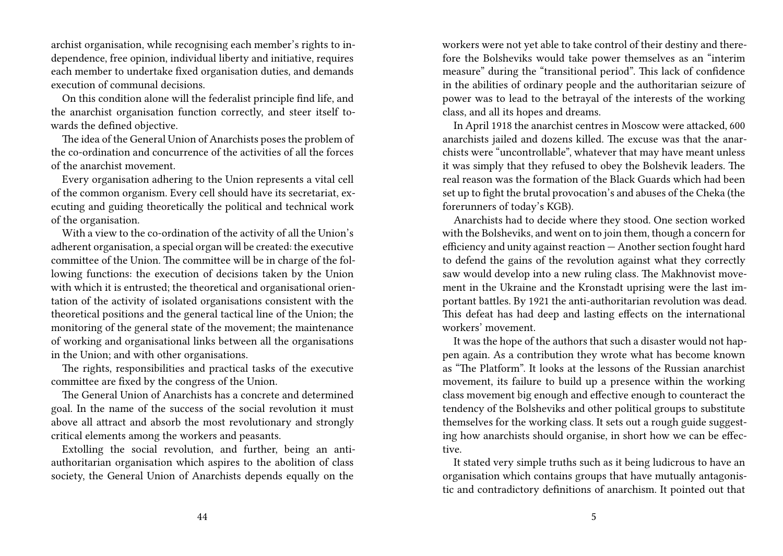archist organisation, while recognising each member's rights to independence, free opinion, individual liberty and initiative, requires each member to undertake fixed organisation duties, and demands execution of communal decisions.

On this condition alone will the federalist principle find life, and the anarchist organisation function correctly, and steer itself towards the defined objective.

The idea of the General Union of Anarchists poses the problem of the co-ordination and concurrence of the activities of all the forces of the anarchist movement.

Every organisation adhering to the Union represents a vital cell of the common organism. Every cell should have its secretariat, executing and guiding theoretically the political and technical work of the organisation.

With a view to the co-ordination of the activity of all the Union's adherent organisation, a special organ will be created: the executive committee of the Union. The committee will be in charge of the following functions: the execution of decisions taken by the Union with which it is entrusted; the theoretical and organisational orientation of the activity of isolated organisations consistent with the theoretical positions and the general tactical line of the Union; the monitoring of the general state of the movement; the maintenance of working and organisational links between all the organisations in the Union; and with other organisations.

The rights, responsibilities and practical tasks of the executive committee are fixed by the congress of the Union.

The General Union of Anarchists has a concrete and determined goal. In the name of the success of the social revolution it must above all attract and absorb the most revolutionary and strongly critical elements among the workers and peasants.

Extolling the social revolution, and further, being an antiauthoritarian organisation which aspires to the abolition of class society, the General Union of Anarchists depends equally on the

workers were not yet able to take control of their destiny and therefore the Bolsheviks would take power themselves as an "interim measure" during the "transitional period". This lack of confidence in the abilities of ordinary people and the authoritarian seizure of power was to lead to the betrayal of the interests of the working class, and all its hopes and dreams.

In April 1918 the anarchist centres in Moscow were attacked, 600 anarchists jailed and dozens killed. The excuse was that the anarchists were "uncontrollable", whatever that may have meant unless it was simply that they refused to obey the Bolshevik leaders. The real reason was the formation of the Black Guards which had been set up to fight the brutal provocation's and abuses of the Cheka (the forerunners of today's KGB).

Anarchists had to decide where they stood. One section worked with the Bolsheviks, and went on to join them, though a concern for efficiency and unity against reaction — Another section fought hard to defend the gains of the revolution against what they correctly saw would develop into a new ruling class. The Makhnovist movement in the Ukraine and the Kronstadt uprising were the last important battles. By 1921 the anti-authoritarian revolution was dead. This defeat has had deep and lasting effects on the international workers' movement.

It was the hope of the authors that such a disaster would not happen again. As a contribution they wrote what has become known as "The Platform". It looks at the lessons of the Russian anarchist movement, its failure to build up a presence within the working class movement big enough and effective enough to counteract the tendency of the Bolsheviks and other political groups to substitute themselves for the working class. It sets out a rough guide suggesting how anarchists should organise, in short how we can be effective.

It stated very simple truths such as it being ludicrous to have an organisation which contains groups that have mutually antagonistic and contradictory definitions of anarchism. It pointed out that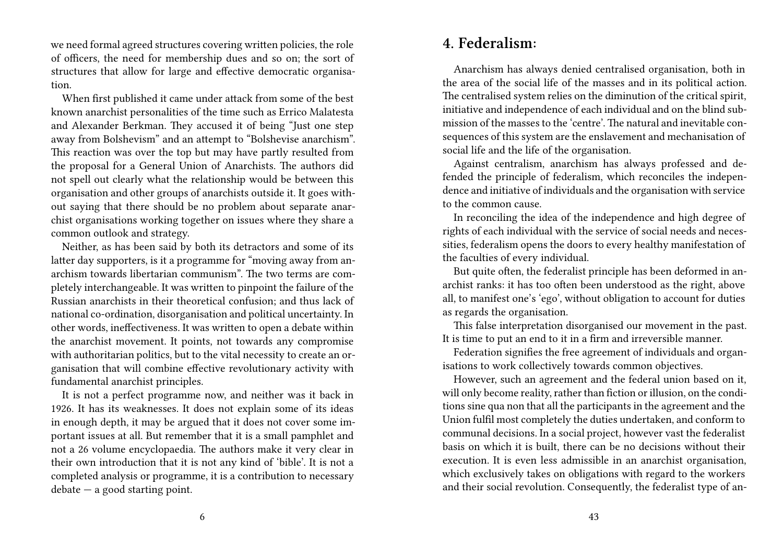we need formal agreed structures covering written policies, the role of officers, the need for membership dues and so on; the sort of structures that allow for large and effective democratic organisation.

When first published it came under attack from some of the best known anarchist personalities of the time such as Errico Malatesta and Alexander Berkman. They accused it of being "Just one step away from Bolshevism" and an attempt to "Bolshevise anarchism". This reaction was over the top but may have partly resulted from the proposal for a General Union of Anarchists. The authors did not spell out clearly what the relationship would be between this organisation and other groups of anarchists outside it. It goes without saying that there should be no problem about separate anarchist organisations working together on issues where they share a common outlook and strategy.

Neither, as has been said by both its detractors and some of its latter day supporters, is it a programme for "moving away from anarchism towards libertarian communism". The two terms are completely interchangeable. It was written to pinpoint the failure of the Russian anarchists in their theoretical confusion; and thus lack of national co-ordination, disorganisation and political uncertainty. In other words, ineffectiveness. It was written to open a debate within the anarchist movement. It points, not towards any compromise with authoritarian politics, but to the vital necessity to create an organisation that will combine effective revolutionary activity with fundamental anarchist principles.

It is not a perfect programme now, and neither was it back in 1926. It has its weaknesses. It does not explain some of its ideas in enough depth, it may be argued that it does not cover some important issues at all. But remember that it is a small pamphlet and not a 26 volume encyclopaedia. The authors make it very clear in their own introduction that it is not any kind of 'bible'. It is not a completed analysis or programme, it is a contribution to necessary  $debate - a good starting point.$ 

#### **4. Federalism:**

Anarchism has always denied centralised organisation, both in the area of the social life of the masses and in its political action. The centralised system relies on the diminution of the critical spirit, initiative and independence of each individual and on the blind submission of the masses to the 'centre'. The natural and inevitable consequences of this system are the enslavement and mechanisation of social life and the life of the organisation.

Against centralism, anarchism has always professed and defended the principle of federalism, which reconciles the independence and initiative of individuals and the organisation with service to the common cause.

In reconciling the idea of the independence and high degree of rights of each individual with the service of social needs and necessities, federalism opens the doors to every healthy manifestation of the faculties of every individual.

But quite often, the federalist principle has been deformed in anarchist ranks: it has too often been understood as the right, above all, to manifest one's 'ego', without obligation to account for duties as regards the organisation.

This false interpretation disorganised our movement in the past. It is time to put an end to it in a firm and irreversible manner.

Federation signifies the free agreement of individuals and organisations to work collectively towards common objectives.

However, such an agreement and the federal union based on it, will only become reality, rather than fiction or illusion, on the conditions sine qua non that all the participants in the agreement and the Union fulfil most completely the duties undertaken, and conform to communal decisions. In a social project, however vast the federalist basis on which it is built, there can be no decisions without their execution. It is even less admissible in an anarchist organisation, which exclusively takes on obligations with regard to the workers and their social revolution. Consequently, the federalist type of an-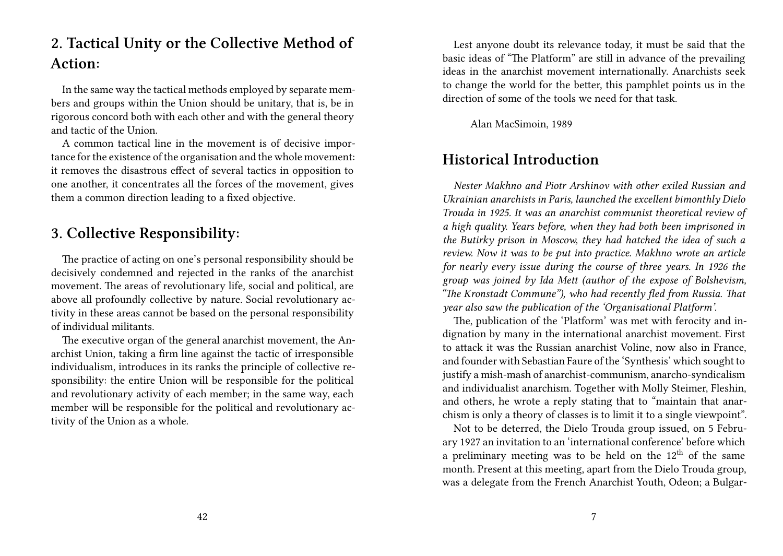## **2. Tactical Unity or the Collective Method of Action:**

In the same way the tactical methods employed by separate members and groups within the Union should be unitary, that is, be in rigorous concord both with each other and with the general theory and tactic of the Union.

A common tactical line in the movement is of decisive importance for the existence of the organisation and the whole movement: it removes the disastrous effect of several tactics in opposition to one another, it concentrates all the forces of the movement, gives them a common direction leading to a fixed objective.

#### **3. Collective Responsibility:**

The practice of acting on one's personal responsibility should be decisively condemned and rejected in the ranks of the anarchist movement. The areas of revolutionary life, social and political, are above all profoundly collective by nature. Social revolutionary activity in these areas cannot be based on the personal responsibility of individual militants.

The executive organ of the general anarchist movement, the Anarchist Union, taking a firm line against the tactic of irresponsible individualism, introduces in its ranks the principle of collective responsibility: the entire Union will be responsible for the political and revolutionary activity of each member; in the same way, each member will be responsible for the political and revolutionary activity of the Union as a whole.

Lest anyone doubt its relevance today, it must be said that the basic ideas of "The Platform" are still in advance of the prevailing ideas in the anarchist movement internationally. Anarchists seek to change the world for the better, this pamphlet points us in the direction of some of the tools we need for that task.

Alan MacSimoin, 1989

#### **Historical Introduction**

*Nester Makhno and Piotr Arshinov with other exiled Russian and Ukrainian anarchists in Paris, launched the excellent bimonthly Dielo Trouda in 1925. It was an anarchist communist theoretical review of a high quality. Years before, when they had both been imprisoned in the Butirky prison in Moscow, they had hatched the idea of such a review. Now it was to be put into practice. Makhno wrote an article for nearly every issue during the course of three years. In 1926 the group was joined by Ida Mett (author of the expose of Bolshevism, "The Kronstadt Commune"), who had recently fled from Russia. That year also saw the publication of the 'Organisational Platform'.*

The, publication of the 'Platform' was met with ferocity and indignation by many in the international anarchist movement. First to attack it was the Russian anarchist Voline, now also in France, and founder with Sebastian Faure of the 'Synthesis' which sought to justify a mish-mash of anarchist-communism, anarcho-syndicalism and individualist anarchism. Together with Molly Steimer, Fleshin, and others, he wrote a reply stating that to "maintain that anarchism is only a theory of classes is to limit it to a single viewpoint".

Not to be deterred, the Dielo Trouda group issued, on 5 February 1927 an invitation to an 'international conference' before which a preliminary meeting was to be held on the  $12<sup>th</sup>$  of the same month. Present at this meeting, apart from the Dielo Trouda group, was a delegate from the French Anarchist Youth, Odeon; a Bulgar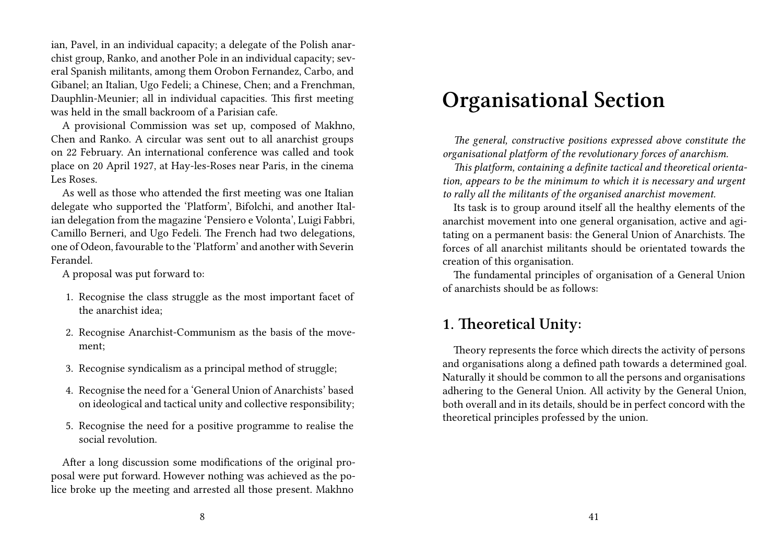ian, Pavel, in an individual capacity; a delegate of the Polish anarchist group, Ranko, and another Pole in an individual capacity; several Spanish militants, among them Orobon Fernandez, Carbo, and Gibanel; an Italian, Ugo Fedeli; a Chinese, Chen; and a Frenchman, Dauphlin-Meunier; all in individual capacities. This first meeting was held in the small backroom of a Parisian cafe.

A provisional Commission was set up, composed of Makhno, Chen and Ranko. A circular was sent out to all anarchist groups on 22 February. An international conference was called and took place on 20 April 1927, at Hay-les-Roses near Paris, in the cinema Les Roses.

As well as those who attended the first meeting was one Italian delegate who supported the 'Platform', Bifolchi, and another Italian delegation from the magazine 'Pensiero e Volonta', Luigi Fabbri, Camillo Berneri, and Ugo Fedeli. The French had two delegations, one of Odeon, favourable to the 'Platform' and another with Severin Ferandel.

A proposal was put forward to:

- 1. Recognise the class struggle as the most important facet of the anarchist idea;
- 2. Recognise Anarchist-Communism as the basis of the movement;
- 3. Recognise syndicalism as a principal method of struggle;
- 4. Recognise the need for a 'General Union of Anarchists' based on ideological and tactical unity and collective responsibility;
- 5. Recognise the need for a positive programme to realise the social revolution.

After a long discussion some modifications of the original proposal were put forward. However nothing was achieved as the police broke up the meeting and arrested all those present. Makhno

## **Organisational Section**

*The general, constructive positions expressed above constitute the organisational platform of the revolutionary forces of anarchism.*

*This platform, containing a definite tactical and theoretical orientation, appears to be the minimum to which it is necessary and urgent to rally all the militants of the organised anarchist movement.*

Its task is to group around itself all the healthy elements of the anarchist movement into one general organisation, active and agitating on a permanent basis: the General Union of Anarchists. The forces of all anarchist militants should be orientated towards the creation of this organisation.

The fundamental principles of organisation of a General Union of anarchists should be as follows:

#### **1. Theoretical Unity:**

Theory represents the force which directs the activity of persons and organisations along a defined path towards a determined goal. Naturally it should be common to all the persons and organisations adhering to the General Union. All activity by the General Union, both overall and in its details, should be in perfect concord with the theoretical principles professed by the union.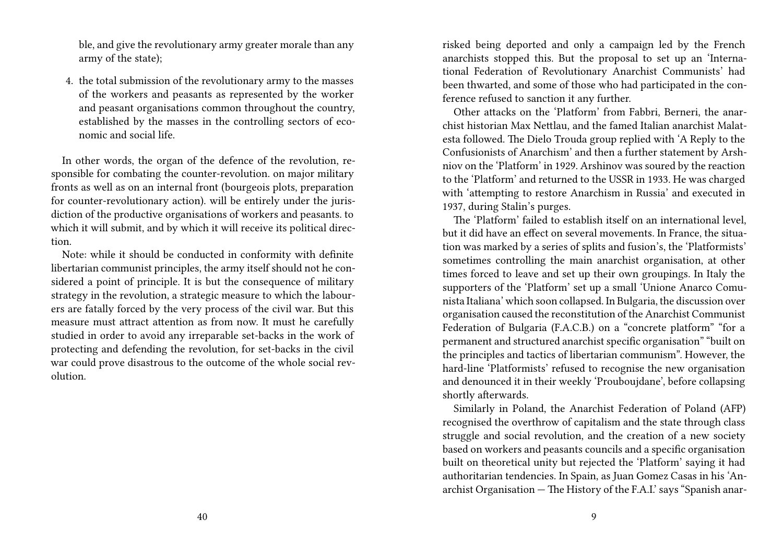ble, and give the revolutionary army greater morale than any army of the state);

4. the total submission of the revolutionary army to the masses of the workers and peasants as represented by the worker and peasant organisations common throughout the country, established by the masses in the controlling sectors of economic and social life.

In other words, the organ of the defence of the revolution, responsible for combating the counter-revolution. on major military fronts as well as on an internal front (bourgeois plots, preparation for counter-revolutionary action). will be entirely under the jurisdiction of the productive organisations of workers and peasants. to which it will submit, and by which it will receive its political direction.

Note: while it should be conducted in conformity with definite libertarian communist principles, the army itself should not he considered a point of principle. It is but the consequence of military strategy in the revolution, a strategic measure to which the labourers are fatally forced by the very process of the civil war. But this measure must attract attention as from now. It must he carefully studied in order to avoid any irreparable set-backs in the work of protecting and defending the revolution, for set-backs in the civil war could prove disastrous to the outcome of the whole social revolution.

risked being deported and only a campaign led by the French anarchists stopped this. But the proposal to set up an 'International Federation of Revolutionary Anarchist Communists' had been thwarted, and some of those who had participated in the conference refused to sanction it any further.

Other attacks on the 'Platform' from Fabbri, Berneri, the anarchist historian Max Nettlau, and the famed Italian anarchist Malatesta followed. The Dielo Trouda group replied with 'A Reply to the Confusionists of Anarchism' and then a further statement by Arshniov on the 'Platform' in 1929. Arshinov was soured by the reaction to the 'Platform' and returned to the USSR in 1933. He was charged with 'attempting to restore Anarchism in Russia' and executed in 1937, during Stalin's purges.

The 'Platform' failed to establish itself on an international level, but it did have an effect on several movements. In France, the situation was marked by a series of splits and fusion's, the 'Platformists' sometimes controlling the main anarchist organisation, at other times forced to leave and set up their own groupings. In Italy the supporters of the 'Platform' set up a small 'Unione Anarco Comunista Italiana' which soon collapsed. In Bulgaria, the discussion over organisation caused the reconstitution of the Anarchist Communist Federation of Bulgaria (F.A.C.B.) on a "concrete platform" "for a permanent and structured anarchist specific organisation" "built on the principles and tactics of libertarian communism". However, the hard-line 'Platformists' refused to recognise the new organisation and denounced it in their weekly 'Prouboujdane', before collapsing shortly afterwards.

Similarly in Poland, the Anarchist Federation of Poland (AFP) recognised the overthrow of capitalism and the state through class struggle and social revolution, and the creation of a new society based on workers and peasants councils and a specific organisation built on theoretical unity but rejected the 'Platform' saying it had authoritarian tendencies. In Spain, as Juan Gomez Casas in his 'Anarchist Organisation — The History of the F.A.I.' says "Spanish anar-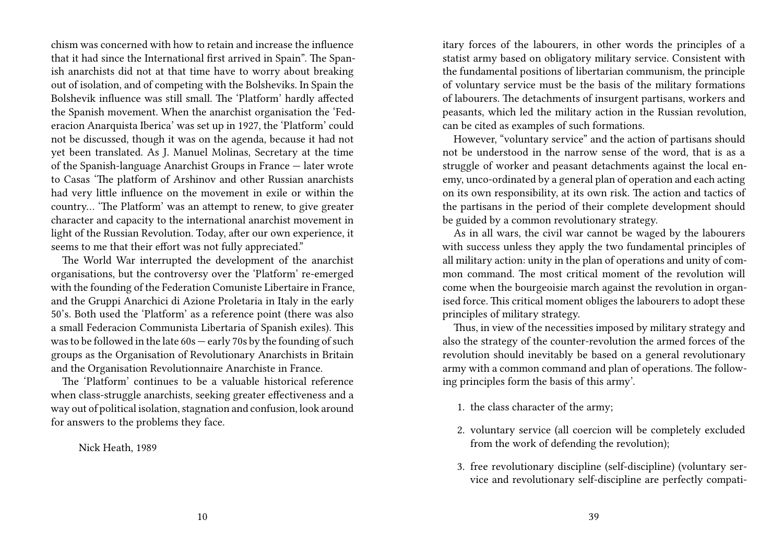chism was concerned with how to retain and increase the influence that it had since the International first arrived in Spain". The Spanish anarchists did not at that time have to worry about breaking out of isolation, and of competing with the Bolsheviks. In Spain the Bolshevik influence was still small. The 'Platform' hardly affected the Spanish movement. When the anarchist organisation the 'Federacion Anarquista Iberica' was set up in 1927, the 'Platform' could not be discussed, though it was on the agenda, because it had not yet been translated. As J. Manuel Molinas, Secretary at the time of the Spanish-language Anarchist Groups in France — later wrote to Casas 'The platform of Arshinov and other Russian anarchists had very little influence on the movement in exile or within the country… 'The Platform' was an attempt to renew, to give greater character and capacity to the international anarchist movement in light of the Russian Revolution. Today, after our own experience, it seems to me that their effort was not fully appreciated."

The World War interrupted the development of the anarchist organisations, but the controversy over the 'Platform' re-emerged with the founding of the Federation Comuniste Libertaire in France, and the Gruppi Anarchici di Azione Proletaria in Italy in the early 50's. Both used the 'Platform' as a reference point (there was also a small Federacion Communista Libertaria of Spanish exiles). This was to be followed in the late 60s — early 70s by the founding of such groups as the Organisation of Revolutionary Anarchists in Britain and the Organisation Revolutionnaire Anarchiste in France.

The 'Platform' continues to be a valuable historical reference when class-struggle anarchists, seeking greater effectiveness and a way out of political isolation, stagnation and confusion, look around for answers to the problems they face.

Nick Heath, 1989

itary forces of the labourers, in other words the principles of a statist army based on obligatory military service. Consistent with the fundamental positions of libertarian communism, the principle of voluntary service must be the basis of the military formations of labourers. The detachments of insurgent partisans, workers and peasants, which led the military action in the Russian revolution, can be cited as examples of such formations.

However, "voluntary service" and the action of partisans should not be understood in the narrow sense of the word, that is as a struggle of worker and peasant detachments against the local enemy, unco-ordinated by a general plan of operation and each acting on its own responsibility, at its own risk. The action and tactics of the partisans in the period of their complete development should be guided by a common revolutionary strategy.

As in all wars, the civil war cannot be waged by the labourers with success unless they apply the two fundamental principles of all military action: unity in the plan of operations and unity of common command. The most critical moment of the revolution will come when the bourgeoisie march against the revolution in organised force. This critical moment obliges the labourers to adopt these principles of military strategy.

Thus, in view of the necessities imposed by military strategy and also the strategy of the counter-revolution the armed forces of the revolution should inevitably be based on a general revolutionary army with a common command and plan of operations. The following principles form the basis of this army'.

1. the class character of the army;

- 2. voluntary service (all coercion will be completely excluded from the work of defending the revolution);
- 3. free revolutionary discipline (self-discipline) (voluntary service and revolutionary self-discipline are perfectly compati-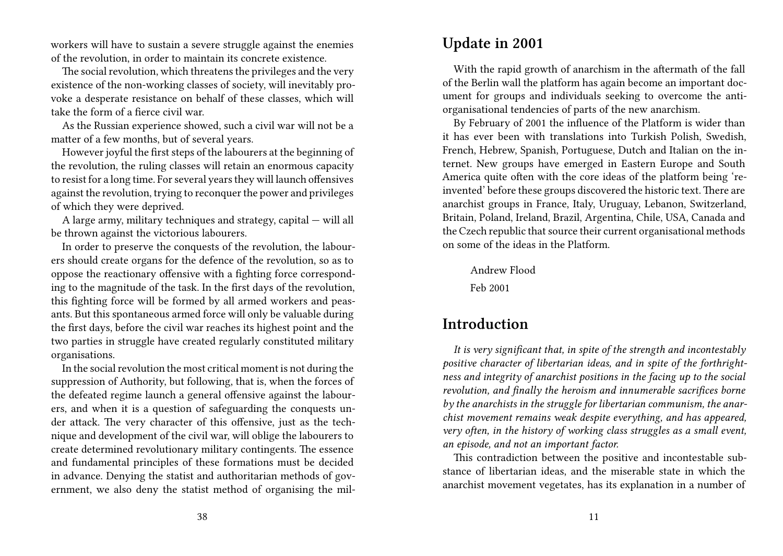workers will have to sustain a severe struggle against the enemies of the revolution, in order to maintain its concrete existence.

The social revolution, which threatens the privileges and the very existence of the non-working classes of society, will inevitably provoke a desperate resistance on behalf of these classes, which will take the form of a fierce civil war.

As the Russian experience showed, such a civil war will not be a matter of a few months, but of several years.

However joyful the first steps of the labourers at the beginning of the revolution, the ruling classes will retain an enormous capacity to resist for a long time. For several years they will launch offensives against the revolution, trying to reconquer the power and privileges of which they were deprived.

A large army, military techniques and strategy, capital — will all be thrown against the victorious labourers.

In order to preserve the conquests of the revolution, the labourers should create organs for the defence of the revolution, so as to oppose the reactionary offensive with a fighting force corresponding to the magnitude of the task. In the first days of the revolution, this fighting force will be formed by all armed workers and peasants. But this spontaneous armed force will only be valuable during the first days, before the civil war reaches its highest point and the two parties in struggle have created regularly constituted military organisations.

In the social revolution the most critical moment is not during the suppression of Authority, but following, that is, when the forces of the defeated regime launch a general offensive against the labourers, and when it is a question of safeguarding the conquests under attack. The very character of this offensive, just as the technique and development of the civil war, will oblige the labourers to create determined revolutionary military contingents. The essence and fundamental principles of these formations must be decided in advance. Denying the statist and authoritarian methods of government, we also deny the statist method of organising the mil-

#### **Update in 2001**

With the rapid growth of anarchism in the aftermath of the fall of the Berlin wall the platform has again become an important document for groups and individuals seeking to overcome the antiorganisational tendencies of parts of the new anarchism.

By February of 2001 the influence of the Platform is wider than it has ever been with translations into Turkish Polish, Swedish, French, Hebrew, Spanish, Portuguese, Dutch and Italian on the internet. New groups have emerged in Eastern Europe and South America quite often with the core ideas of the platform being 'reinvented' before these groups discovered the historic text. There are anarchist groups in France, Italy, Uruguay, Lebanon, Switzerland, Britain, Poland, Ireland, Brazil, Argentina, Chile, USA, Canada and the Czech republic that source their current organisational methods on some of the ideas in the Platform.

Andrew Flood

Feb 2001

### **Introduction**

*It is very significant that, in spite of the strength and incontestably positive character of libertarian ideas, and in spite of the forthrightness and integrity of anarchist positions in the facing up to the social revolution, and finally the heroism and innumerable sacrifices borne by the anarchists in the struggle for libertarian communism, the anarchist movement remains weak despite everything, and has appeared, very often, in the history of working class struggles as a small event, an episode, and not an important factor.*

This contradiction between the positive and incontestable substance of libertarian ideas, and the miserable state in which the anarchist movement vegetates, has its explanation in a number of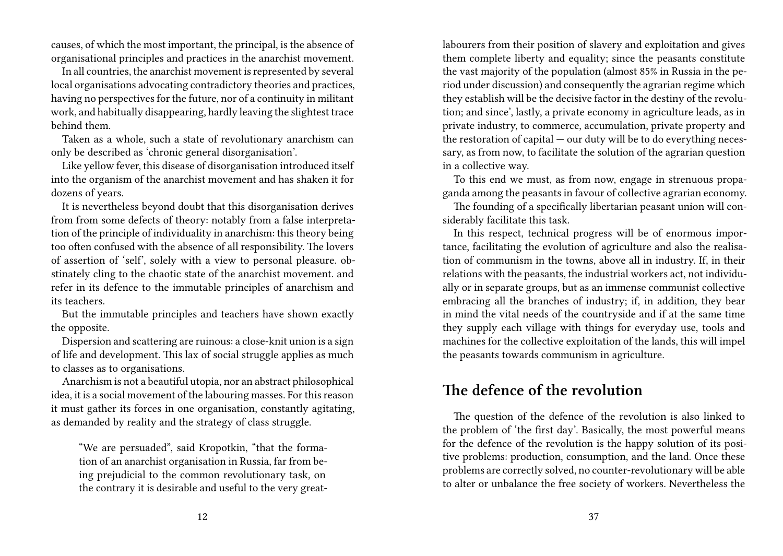causes, of which the most important, the principal, is the absence of organisational principles and practices in the anarchist movement.

In all countries, the anarchist movement is represented by several local organisations advocating contradictory theories and practices, having no perspectives for the future, nor of a continuity in militant work, and habitually disappearing, hardly leaving the slightest trace behind them.

Taken as a whole, such a state of revolutionary anarchism can only be described as 'chronic general disorganisation'.

Like yellow fever, this disease of disorganisation introduced itself into the organism of the anarchist movement and has shaken it for dozens of years.

It is nevertheless beyond doubt that this disorganisation derives from from some defects of theory: notably from a false interpretation of the principle of individuality in anarchism: this theory being too often confused with the absence of all responsibility. The lovers of assertion of 'self', solely with a view to personal pleasure. obstinately cling to the chaotic state of the anarchist movement. and refer in its defence to the immutable principles of anarchism and its teachers.

But the immutable principles and teachers have shown exactly the opposite.

Dispersion and scattering are ruinous: a close-knit union is a sign of life and development. This lax of social struggle applies as much to classes as to organisations.

Anarchism is not a beautiful utopia, nor an abstract philosophical idea, it is a social movement of the labouring masses. For this reason it must gather its forces in one organisation, constantly agitating, as demanded by reality and the strategy of class struggle.

"We are persuaded", said Kropotkin, "that the formation of an anarchist organisation in Russia, far from being prejudicial to the common revolutionary task, on the contrary it is desirable and useful to the very greatlabourers from their position of slavery and exploitation and gives them complete liberty and equality; since the peasants constitute the vast majority of the population (almost 85% in Russia in the period under discussion) and consequently the agrarian regime which they establish will be the decisive factor in the destiny of the revolution; and since', lastly, a private economy in agriculture leads, as in private industry, to commerce, accumulation, private property and the restoration of capital — our duty will be to do everything necessary, as from now, to facilitate the solution of the agrarian question in a collective way.

To this end we must, as from now, engage in strenuous propaganda among the peasants in favour of collective agrarian economy.

The founding of a specifically libertarian peasant union will considerably facilitate this task.

In this respect, technical progress will be of enormous importance, facilitating the evolution of agriculture and also the realisation of communism in the towns, above all in industry. If, in their relations with the peasants, the industrial workers act, not individually or in separate groups, but as an immense communist collective embracing all the branches of industry; if, in addition, they bear in mind the vital needs of the countryside and if at the same time they supply each village with things for everyday use, tools and machines for the collective exploitation of the lands, this will impel the peasants towards communism in agriculture.

#### **The defence of the revolution**

The question of the defence of the revolution is also linked to the problem of 'the first day'. Basically, the most powerful means for the defence of the revolution is the happy solution of its positive problems: production, consumption, and the land. Once these problems are correctly solved, no counter-revolutionary will be able to alter or unbalance the free society of workers. Nevertheless the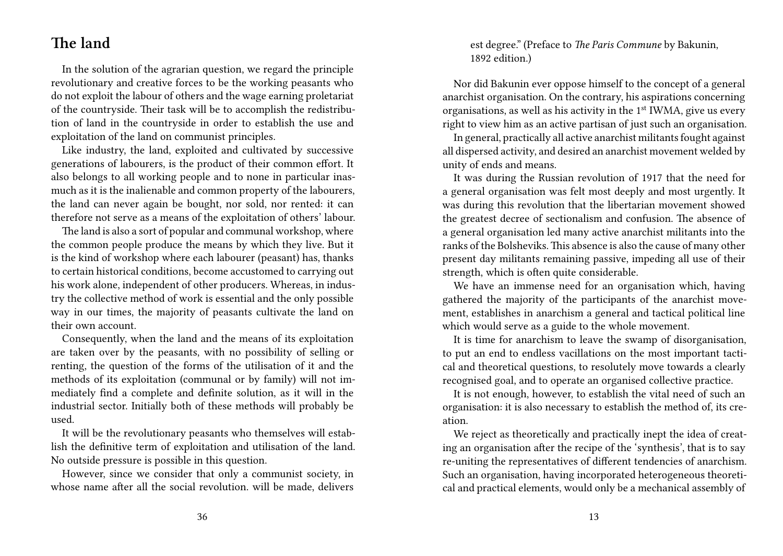#### **The land**

In the solution of the agrarian question, we regard the principle revolutionary and creative forces to be the working peasants who do not exploit the labour of others and the wage earning proletariat of the countryside. Their task will be to accomplish the redistribution of land in the countryside in order to establish the use and exploitation of the land on communist principles.

Like industry, the land, exploited and cultivated by successive generations of labourers, is the product of their common effort. It also belongs to all working people and to none in particular inasmuch as it is the inalienable and common property of the labourers, the land can never again be bought, nor sold, nor rented: it can therefore not serve as a means of the exploitation of others' labour.

The land is also a sort of popular and communal workshop, where the common people produce the means by which they live. But it is the kind of workshop where each labourer (peasant) has, thanks to certain historical conditions, become accustomed to carrying out his work alone, independent of other producers. Whereas, in industry the collective method of work is essential and the only possible way in our times, the majority of peasants cultivate the land on their own account.

Consequently, when the land and the means of its exploitation are taken over by the peasants, with no possibility of selling or renting, the question of the forms of the utilisation of it and the methods of its exploitation (communal or by family) will not immediately find a complete and definite solution, as it will in the industrial sector. Initially both of these methods will probably be used.

It will be the revolutionary peasants who themselves will establish the definitive term of exploitation and utilisation of the land. No outside pressure is possible in this question.

However, since we consider that only a communist society, in whose name after all the social revolution. will be made, delivers est degree." (Preface to *The Paris Commune* by Bakunin, 1892 edition.)

Nor did Bakunin ever oppose himself to the concept of a general anarchist organisation. On the contrary, his aspirations concerning organisations, as well as his activity in the  $1<sup>st</sup> IWMA$ , give us every right to view him as an active partisan of just such an organisation.

In general, practically all active anarchist militants fought against all dispersed activity, and desired an anarchist movement welded by unity of ends and means.

It was during the Russian revolution of 1917 that the need for a general organisation was felt most deeply and most urgently. It was during this revolution that the libertarian movement showed the greatest decree of sectionalism and confusion. The absence of a general organisation led many active anarchist militants into the ranks of the Bolsheviks. This absence is also the cause of many other present day militants remaining passive, impeding all use of their strength, which is often quite considerable.

We have an immense need for an organisation which, having gathered the majority of the participants of the anarchist movement, establishes in anarchism a general and tactical political line which would serve as a guide to the whole movement.

It is time for anarchism to leave the swamp of disorganisation, to put an end to endless vacillations on the most important tactical and theoretical questions, to resolutely move towards a clearly recognised goal, and to operate an organised collective practice.

It is not enough, however, to establish the vital need of such an organisation: it is also necessary to establish the method of, its creation.

We reject as theoretically and practically inept the idea of creating an organisation after the recipe of the 'synthesis', that is to say re-uniting the representatives of different tendencies of anarchism. Such an organisation, having incorporated heterogeneous theoretical and practical elements, would only be a mechanical assembly of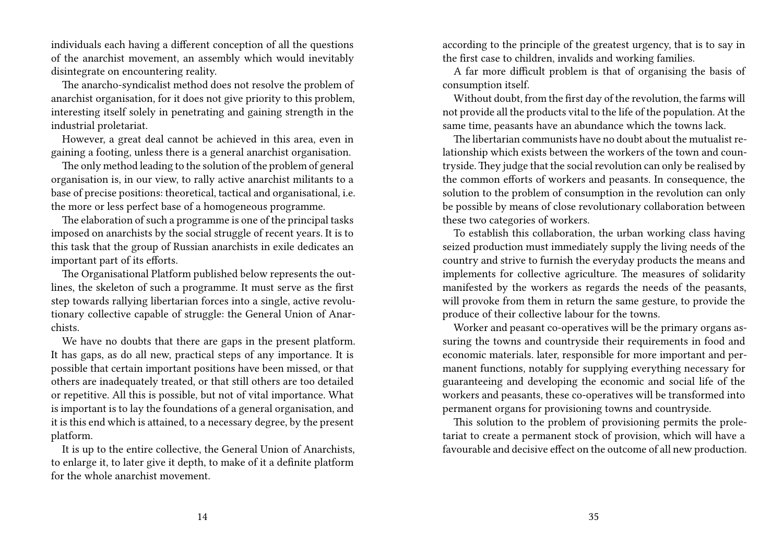individuals each having a different conception of all the questions of the anarchist movement, an assembly which would inevitably disintegrate on encountering reality.

The anarcho-syndicalist method does not resolve the problem of anarchist organisation, for it does not give priority to this problem, interesting itself solely in penetrating and gaining strength in the industrial proletariat.

However, a great deal cannot be achieved in this area, even in gaining a footing, unless there is a general anarchist organisation.

The only method leading to the solution of the problem of general organisation is, in our view, to rally active anarchist militants to a base of precise positions: theoretical, tactical and organisational, i.e. the more or less perfect base of a homogeneous programme.

The elaboration of such a programme is one of the principal tasks imposed on anarchists by the social struggle of recent years. It is to this task that the group of Russian anarchists in exile dedicates an important part of its efforts.

The Organisational Platform published below represents the outlines, the skeleton of such a programme. It must serve as the first step towards rallying libertarian forces into a single, active revolutionary collective capable of struggle: the General Union of Anarchists.

We have no doubts that there are gaps in the present platform. It has gaps, as do all new, practical steps of any importance. It is possible that certain important positions have been missed, or that others are inadequately treated, or that still others are too detailed or repetitive. All this is possible, but not of vital importance. What is important is to lay the foundations of a general organisation, and it is this end which is attained, to a necessary degree, by the present platform.

It is up to the entire collective, the General Union of Anarchists, to enlarge it, to later give it depth, to make of it a definite platform for the whole anarchist movement.

according to the principle of the greatest urgency, that is to say in the first case to children, invalids and working families.

A far more difficult problem is that of organising the basis of consumption itself.

Without doubt, from the first day of the revolution, the farms will not provide all the products vital to the life of the population. At the same time, peasants have an abundance which the towns lack.

The libertarian communists have no doubt about the mutualist relationship which exists between the workers of the town and countryside. They judge that the social revolution can only be realised by the common efforts of workers and peasants. In consequence, the solution to the problem of consumption in the revolution can only be possible by means of close revolutionary collaboration between these two categories of workers.

To establish this collaboration, the urban working class having seized production must immediately supply the living needs of the country and strive to furnish the everyday products the means and implements for collective agriculture. The measures of solidarity manifested by the workers as regards the needs of the peasants, will provoke from them in return the same gesture, to provide the produce of their collective labour for the towns.

Worker and peasant co-operatives will be the primary organs assuring the towns and countryside their requirements in food and economic materials. later, responsible for more important and permanent functions, notably for supplying everything necessary for guaranteeing and developing the economic and social life of the workers and peasants, these co-operatives will be transformed into permanent organs for provisioning towns and countryside.

This solution to the problem of provisioning permits the proletariat to create a permanent stock of provision, which will have a favourable and decisive effect on the outcome of all new production.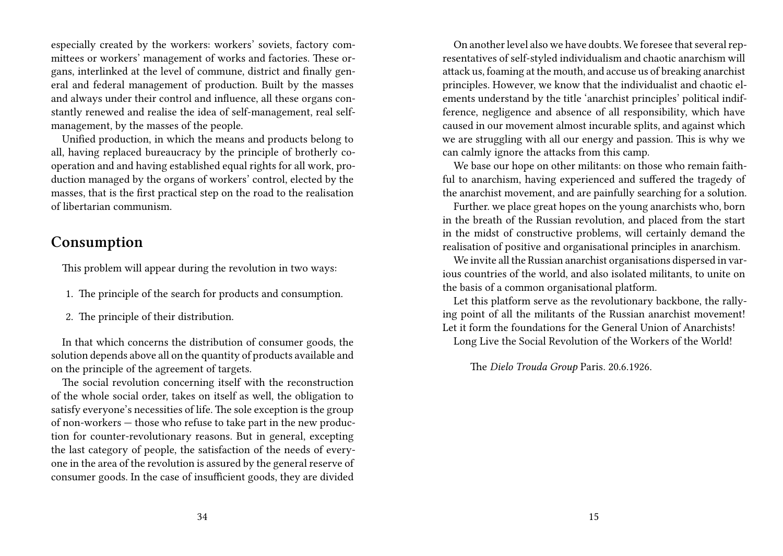especially created by the workers: workers' soviets, factory committees or workers' management of works and factories. These organs, interlinked at the level of commune, district and finally general and federal management of production. Built by the masses and always under their control and influence, all these organs constantly renewed and realise the idea of self-management, real selfmanagement, by the masses of the people.

Unified production, in which the means and products belong to all, having replaced bureaucracy by the principle of brotherly cooperation and and having established equal rights for all work, production managed by the organs of workers' control, elected by the masses, that is the first practical step on the road to the realisation of libertarian communism.

#### **Consumption**

This problem will appear during the revolution in two ways:

- 1. The principle of the search for products and consumption.
- 2. The principle of their distribution.

In that which concerns the distribution of consumer goods, the solution depends above all on the quantity of products available and on the principle of the agreement of targets.

The social revolution concerning itself with the reconstruction of the whole social order, takes on itself as well, the obligation to satisfy everyone's necessities of life. The sole exception is the group of non-workers — those who refuse to take part in the new production for counter-revolutionary reasons. But in general, excepting the last category of people, the satisfaction of the needs of everyone in the area of the revolution is assured by the general reserve of consumer goods. In the case of insufficient goods, they are divided

On another level also we have doubts. We foresee that several representatives of self-styled individualism and chaotic anarchism will attack us, foaming at the mouth, and accuse us of breaking anarchist principles. However, we know that the individualist and chaotic elements understand by the title 'anarchist principles' political indifference, negligence and absence of all responsibility, which have caused in our movement almost incurable splits, and against which we are struggling with all our energy and passion. This is why we can calmly ignore the attacks from this camp.

We base our hope on other militants: on those who remain faithful to anarchism, having experienced and suffered the tragedy of the anarchist movement, and are painfully searching for a solution.

Further. we place great hopes on the young anarchists who, born in the breath of the Russian revolution, and placed from the start in the midst of constructive problems, will certainly demand the realisation of positive and organisational principles in anarchism.

We invite all the Russian anarchist organisations dispersed in various countries of the world, and also isolated militants, to unite on the basis of a common organisational platform.

Let this platform serve as the revolutionary backbone, the rallying point of all the militants of the Russian anarchist movement! Let it form the foundations for the General Union of Anarchists!

Long Live the Social Revolution of the Workers of the World!

The *Dielo Trouda Group* Paris. 20.6.1926.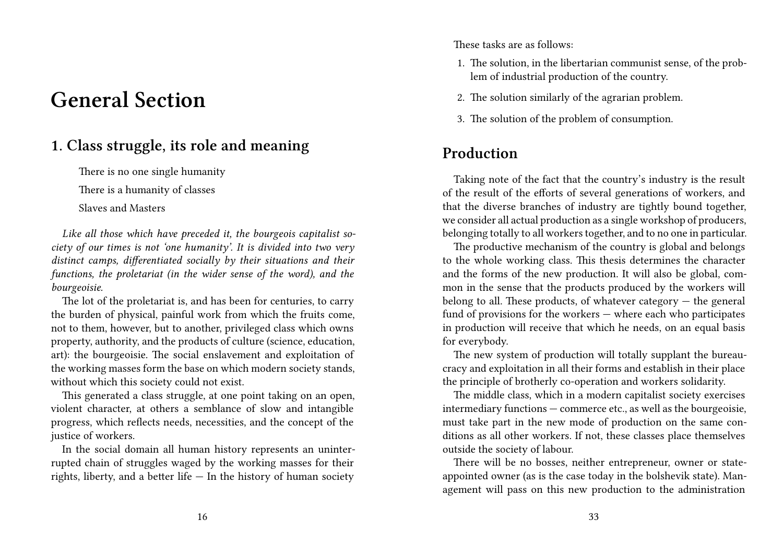## **General Section**

### **1. Class struggle, its role and meaning**

There is no one single humanity

There is a humanity of classes

Slaves and Masters

*Like all those which have preceded it, the bourgeois capitalist society of our times is not 'one humanity'. It is divided into two very distinct camps, differentiated socially by their situations and their functions, the proletariat (in the wider sense of the word), and the bourgeoisie.*

The lot of the proletariat is, and has been for centuries, to carry the burden of physical, painful work from which the fruits come, not to them, however, but to another, privileged class which owns property, authority, and the products of culture (science, education, art): the bourgeoisie. The social enslavement and exploitation of the working masses form the base on which modern society stands, without which this society could not exist.

This generated a class struggle, at one point taking on an open, violent character, at others a semblance of slow and intangible progress, which reflects needs, necessities, and the concept of the justice of workers.

In the social domain all human history represents an uninterrupted chain of struggles waged by the working masses for their rights, liberty, and a better life — In the history of human society

These tasks are as follows:

- 1. The solution, in the libertarian communist sense, of the problem of industrial production of the country.
- 2. The solution similarly of the agrarian problem.
- 3. The solution of the problem of consumption.

### **Production**

Taking note of the fact that the country's industry is the result of the result of the efforts of several generations of workers, and that the diverse branches of industry are tightly bound together, we consider all actual production as a single workshop of producers, belonging totally to all workers together, and to no one in particular.

The productive mechanism of the country is global and belongs to the whole working class. This thesis determines the character and the forms of the new production. It will also be global, common in the sense that the products produced by the workers will belong to all. These products, of whatever category  $-$  the general fund of provisions for the workers — where each who participates in production will receive that which he needs, on an equal basis for everybody.

The new system of production will totally supplant the bureaucracy and exploitation in all their forms and establish in their place the principle of brotherly co-operation and workers solidarity.

The middle class, which in a modern capitalist society exercises intermediary functions — commerce etc., as well as the bourgeoisie, must take part in the new mode of production on the same conditions as all other workers. If not, these classes place themselves outside the society of labour.

There will be no bosses, neither entrepreneur, owner or stateappointed owner (as is the case today in the bolshevik state). Management will pass on this new production to the administration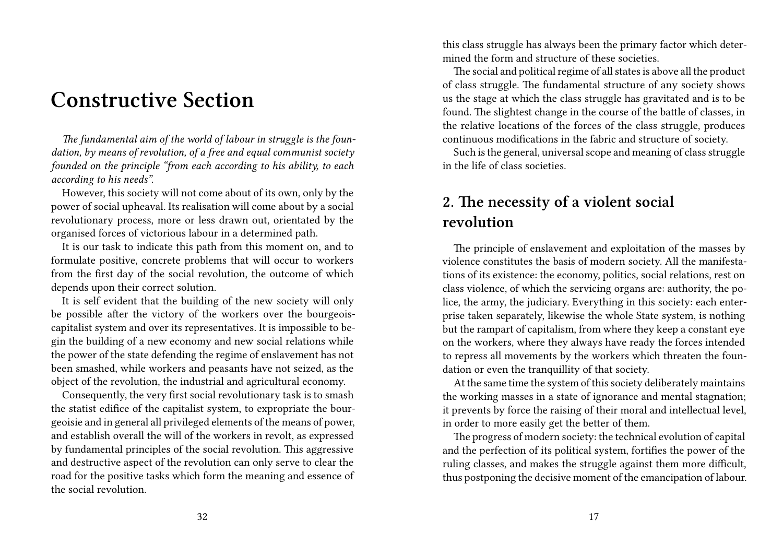## **Constructive Section**

*The fundamental aim of the world of labour in struggle is the foundation, by means of revolution, of a free and equal communist society founded on the principle "from each according to his ability, to each according to his needs".*

However, this society will not come about of its own, only by the power of social upheaval. Its realisation will come about by a social revolutionary process, more or less drawn out, orientated by the organised forces of victorious labour in a determined path.

It is our task to indicate this path from this moment on, and to formulate positive, concrete problems that will occur to workers from the first day of the social revolution, the outcome of which depends upon their correct solution.

It is self evident that the building of the new society will only be possible after the victory of the workers over the bourgeoiscapitalist system and over its representatives. It is impossible to begin the building of a new economy and new social relations while the power of the state defending the regime of enslavement has not been smashed, while workers and peasants have not seized, as the object of the revolution, the industrial and agricultural economy.

Consequently, the very first social revolutionary task is to smash the statist edifice of the capitalist system, to expropriate the bourgeoisie and in general all privileged elements of the means of power, and establish overall the will of the workers in revolt, as expressed by fundamental principles of the social revolution. This aggressive and destructive aspect of the revolution can only serve to clear the road for the positive tasks which form the meaning and essence of the social revolution.

this class struggle has always been the primary factor which determined the form and structure of these societies.

The social and political regime of all states is above all the product of class struggle. The fundamental structure of any society shows us the stage at which the class struggle has gravitated and is to be found. The slightest change in the course of the battle of classes, in the relative locations of the forces of the class struggle, produces continuous modifications in the fabric and structure of society.

Such is the general, universal scope and meaning of class struggle in the life of class societies.

## **2. The necessity of a violent social revolution**

The principle of enslavement and exploitation of the masses by violence constitutes the basis of modern society. All the manifestations of its existence: the economy, politics, social relations, rest on class violence, of which the servicing organs are: authority, the police, the army, the judiciary. Everything in this society: each enterprise taken separately, likewise the whole State system, is nothing but the rampart of capitalism, from where they keep a constant eye on the workers, where they always have ready the forces intended to repress all movements by the workers which threaten the foundation or even the tranquillity of that society.

At the same time the system of this society deliberately maintains the working masses in a state of ignorance and mental stagnation; it prevents by force the raising of their moral and intellectual level, in order to more easily get the better of them.

The progress of modern society: the technical evolution of capital and the perfection of its political system, fortifies the power of the ruling classes, and makes the struggle against them more difficult, thus postponing the decisive moment of the emancipation of labour.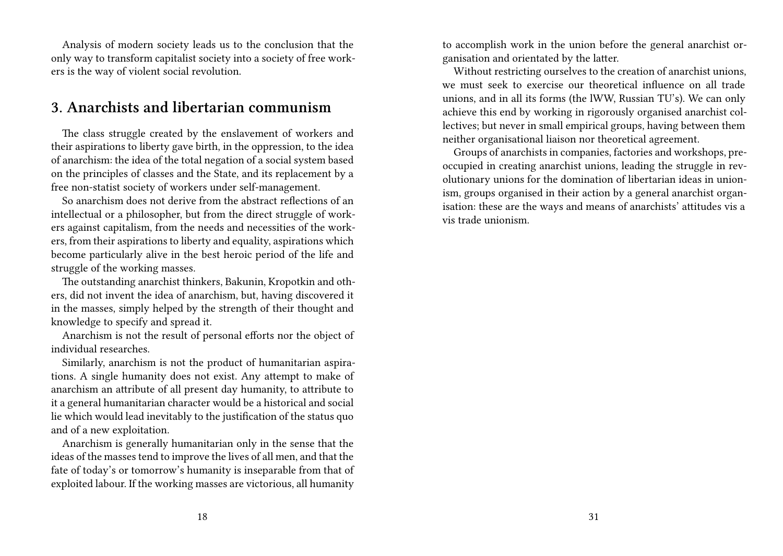Analysis of modern society leads us to the conclusion that the only way to transform capitalist society into a society of free workers is the way of violent social revolution.

#### **3. Anarchists and libertarian communism**

The class struggle created by the enslavement of workers and their aspirations to liberty gave birth, in the oppression, to the idea of anarchism: the idea of the total negation of a social system based on the principles of classes and the State, and its replacement by a free non-statist society of workers under self-management.

So anarchism does not derive from the abstract reflections of an intellectual or a philosopher, but from the direct struggle of workers against capitalism, from the needs and necessities of the workers, from their aspirations to liberty and equality, aspirations which become particularly alive in the best heroic period of the life and struggle of the working masses.

The outstanding anarchist thinkers, Bakunin, Kropotkin and others, did not invent the idea of anarchism, but, having discovered it in the masses, simply helped by the strength of their thought and knowledge to specify and spread it.

Anarchism is not the result of personal efforts nor the object of individual researches.

Similarly, anarchism is not the product of humanitarian aspirations. A single humanity does not exist. Any attempt to make of anarchism an attribute of all present day humanity, to attribute to it a general humanitarian character would be a historical and social lie which would lead inevitably to the justification of the status quo and of a new exploitation.

Anarchism is generally humanitarian only in the sense that the ideas of the masses tend to improve the lives of all men, and that the fate of today's or tomorrow's humanity is inseparable from that of exploited labour. If the working masses are victorious, all humanity

to accomplish work in the union before the general anarchist organisation and orientated by the latter.

Without restricting ourselves to the creation of anarchist unions, we must seek to exercise our theoretical influence on all trade unions, and in all its forms (the lWW, Russian TU's). We can only achieve this end by working in rigorously organised anarchist collectives; but never in small empirical groups, having between them neither organisational liaison nor theoretical agreement.

Groups of anarchists in companies, factories and workshops, preoccupied in creating anarchist unions, leading the struggle in revolutionary unions for the domination of libertarian ideas in unionism, groups organised in their action by a general anarchist organisation: these are the ways and means of anarchists' attitudes vis a vis trade unionism.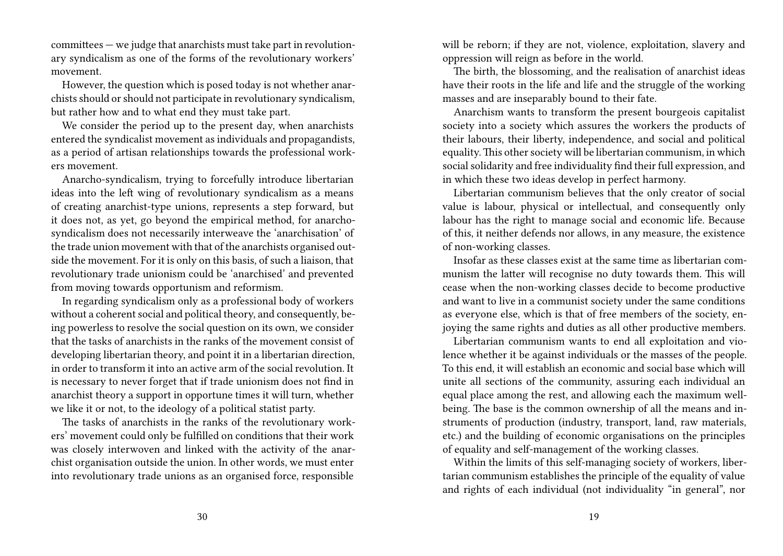committees — we judge that anarchists must take part in revolutionary syndicalism as one of the forms of the revolutionary workers' movement.

However, the question which is posed today is not whether anarchists should or should not participate in revolutionary syndicalism, but rather how and to what end they must take part.

We consider the period up to the present day, when anarchists entered the syndicalist movement as individuals and propagandists, as a period of artisan relationships towards the professional workers movement.

Anarcho-syndicalism, trying to forcefully introduce libertarian ideas into the left wing of revolutionary syndicalism as a means of creating anarchist-type unions, represents a step forward, but it does not, as yet, go beyond the empirical method, for anarchosyndicalism does not necessarily interweave the 'anarchisation' of the trade union movement with that of the anarchists organised outside the movement. For it is only on this basis, of such a liaison, that revolutionary trade unionism could be 'anarchised' and prevented from moving towards opportunism and reformism.

In regarding syndicalism only as a professional body of workers without a coherent social and political theory, and consequently, being powerless to resolve the social question on its own, we consider that the tasks of anarchists in the ranks of the movement consist of developing libertarian theory, and point it in a libertarian direction, in order to transform it into an active arm of the social revolution. It is necessary to never forget that if trade unionism does not find in anarchist theory a support in opportune times it will turn, whether we like it or not, to the ideology of a political statist party.

The tasks of anarchists in the ranks of the revolutionary workers' movement could only be fulfilled on conditions that their work was closely interwoven and linked with the activity of the anarchist organisation outside the union. In other words, we must enter into revolutionary trade unions as an organised force, responsible

will be reborn; if they are not, violence, exploitation, slavery and oppression will reign as before in the world.

The birth, the blossoming, and the realisation of anarchist ideas have their roots in the life and life and the struggle of the working masses and are inseparably bound to their fate.

Anarchism wants to transform the present bourgeois capitalist society into a society which assures the workers the products of their labours, their liberty, independence, and social and political equality.This other society will be libertarian communism, in which social solidarity and free individuality find their full expression, and in which these two ideas develop in perfect harmony.

Libertarian communism believes that the only creator of social value is labour, physical or intellectual, and consequently only labour has the right to manage social and economic life. Because of this, it neither defends nor allows, in any measure, the existence of non-working classes.

Insofar as these classes exist at the same time as libertarian communism the latter will recognise no duty towards them. This will cease when the non-working classes decide to become productive and want to live in a communist society under the same conditions as everyone else, which is that of free members of the society, enjoying the same rights and duties as all other productive members.

Libertarian communism wants to end all exploitation and violence whether it be against individuals or the masses of the people. To this end, it will establish an economic and social base which will unite all sections of the community, assuring each individual an equal place among the rest, and allowing each the maximum wellbeing. The base is the common ownership of all the means and instruments of production (industry, transport, land, raw materials, etc.) and the building of economic organisations on the principles of equality and self-management of the working classes.

Within the limits of this self-managing society of workers, libertarian communism establishes the principle of the equality of value and rights of each individual (not individuality "in general", nor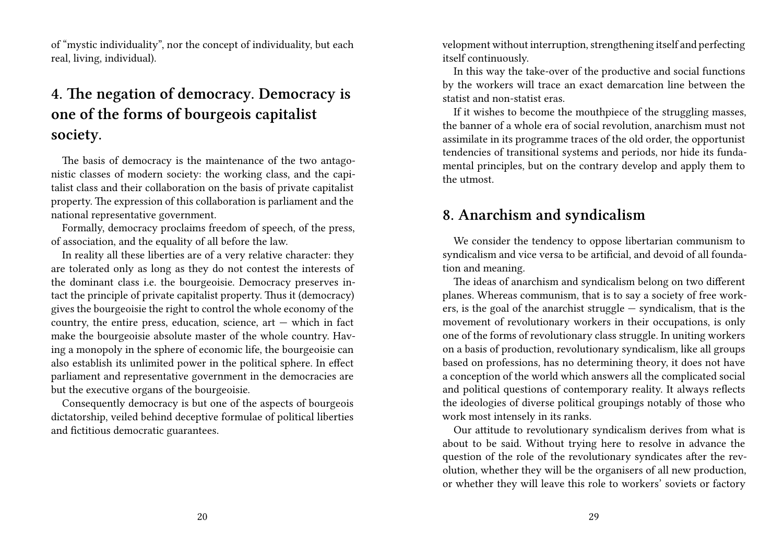of "mystic individuality", nor the concept of individuality, but each real, living, individual).

## **4. The negation of democracy. Democracy is one of the forms of bourgeois capitalist society.**

The basis of democracy is the maintenance of the two antagonistic classes of modern society: the working class, and the capitalist class and their collaboration on the basis of private capitalist property. The expression of this collaboration is parliament and the national representative government.

Formally, democracy proclaims freedom of speech, of the press, of association, and the equality of all before the law.

In reality all these liberties are of a very relative character: they are tolerated only as long as they do not contest the interests of the dominant class i.e. the bourgeoisie. Democracy preserves intact the principle of private capitalist property. Thus it (democracy) gives the bourgeoisie the right to control the whole economy of the country, the entire press, education, science,  $art -$  which in fact make the bourgeoisie absolute master of the whole country. Having a monopoly in the sphere of economic life, the bourgeoisie can also establish its unlimited power in the political sphere. In effect parliament and representative government in the democracies are but the executive organs of the bourgeoisie.

Consequently democracy is but one of the aspects of bourgeois dictatorship, veiled behind deceptive formulae of political liberties and fictitious democratic guarantees.

velopment without interruption, strengthening itself and perfecting itself continuously.

In this way the take-over of the productive and social functions by the workers will trace an exact demarcation line between the statist and non-statist eras.

If it wishes to become the mouthpiece of the struggling masses, the banner of a whole era of social revolution, anarchism must not assimilate in its programme traces of the old order, the opportunist tendencies of transitional systems and periods, nor hide its fundamental principles, but on the contrary develop and apply them to the utmost.

#### **8. Anarchism and syndicalism**

We consider the tendency to oppose libertarian communism to syndicalism and vice versa to be artificial, and devoid of all foundation and meaning.

The ideas of anarchism and syndicalism belong on two different planes. Whereas communism, that is to say a society of free workers, is the goal of the anarchist struggle  $-$  syndicalism, that is the movement of revolutionary workers in their occupations, is only one of the forms of revolutionary class struggle. In uniting workers on a basis of production, revolutionary syndicalism, like all groups based on professions, has no determining theory, it does not have a conception of the world which answers all the complicated social and political questions of contemporary reality. It always reflects the ideologies of diverse political groupings notably of those who work most intensely in its ranks.

Our attitude to revolutionary syndicalism derives from what is about to be said. Without trying here to resolve in advance the question of the role of the revolutionary syndicates after the revolution, whether they will be the organisers of all new production, or whether they will leave this role to workers' soviets or factory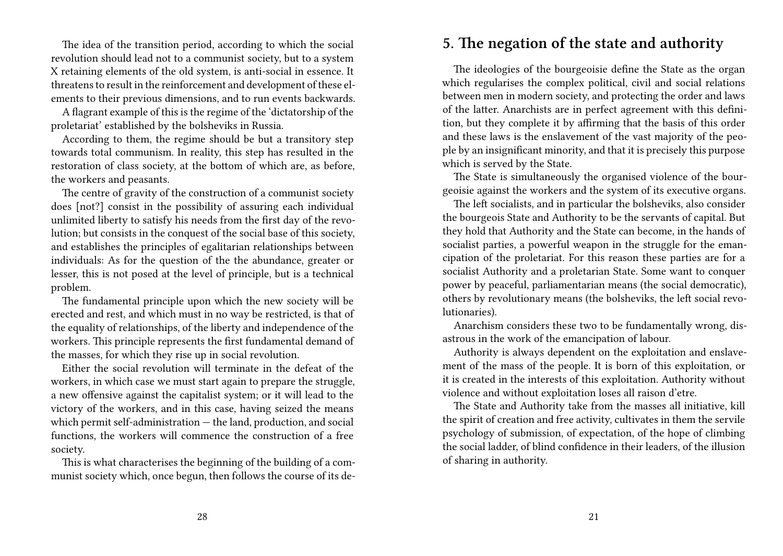The idea of the transition period, according to which the social revolution should lead not to a communist society, but to a system X retaining elements of the old system, is anti-social in essence. It threatens to result in the reinforcement and development of these elements to their previous dimensions, and to run events backwards.

A flagrant example of this is the regime of the 'dictatorship of the proletariat' established by the bolsheviks in Russia.

According to them, the regime should be but a transitory step towards total communism. In reality, this step has resulted in the restoration of class society, at the bottom of which are, as before, the workers and peasants.

The centre of gravity of the construction of a communist society does [not?] consist in the possibility of assuring each individual unlimited liberty to satisfy his needs from the first day of the revolution; but consists in the conquest of the social base of this society, and establishes the principles of egalitarian relationships between individuals: As for the question of the the abundance, greater or lesser, this is not posed at the level of principle, but is a technical problem.

The fundamental principle upon which the new society will be erected and rest, and which must in no way be restricted, is that of the equality of relationships, of the liberty and independence of the workers. This principle represents the first fundamental demand of the masses, for which they rise up in social revolution.

Either the social revolution will terminate in the defeat of the workers, in which case we must start again to prepare the struggle, a new offensive against the capitalist system; or it will lead to the victory of the workers, and in this case, having seized the means which permit self-administration — the land, production, and social functions, the workers will commence the construction of a free society.

This is what characterises the beginning of the building of a communist society which, once begun, then follows the course of its de-

#### **5. The negation of the state and authority**

The ideologies of the bourgeoisie define the State as the organ which regularises the complex political, civil and social relations between men in modern society, and protecting the order and laws of the latter. Anarchists are in perfect agreement with this definition, but they complete it by affirming that the basis of this order and these laws is the enslavement of the vast majority of the people by an insignificant minority, and that it is precisely this purpose which is served by the State.

The State is simultaneously the organised violence of the bourgeoisie against the workers and the system of its executive organs.

The left socialists, and in particular the bolsheviks, also consider the bourgeois State and Authority to be the servants of capital. But they hold that Authority and the State can become, in the hands of socialist parties, a powerful weapon in the struggle for the emancipation of the proletariat. For this reason these parties are for a socialist Authority and a proletarian State. Some want to conquer power by peaceful, parliamentarian means (the social democratic), others by revolutionary means (the bolsheviks, the left social revolutionaries).

Anarchism considers these two to be fundamentally wrong, disastrous in the work of the emancipation of labour.

Authority is always dependent on the exploitation and enslavement of the mass of the people. It is born of this exploitation, or it is created in the interests of this exploitation. Authority without violence and without exploitation loses all raison d'etre.

The State and Authority take from the masses all initiative, kill the spirit of creation and free activity, cultivates in them the servile psychology of submission, of expectation, of the hope of climbing the social ladder, of blind confidence in their leaders, of the illusion of sharing in authority.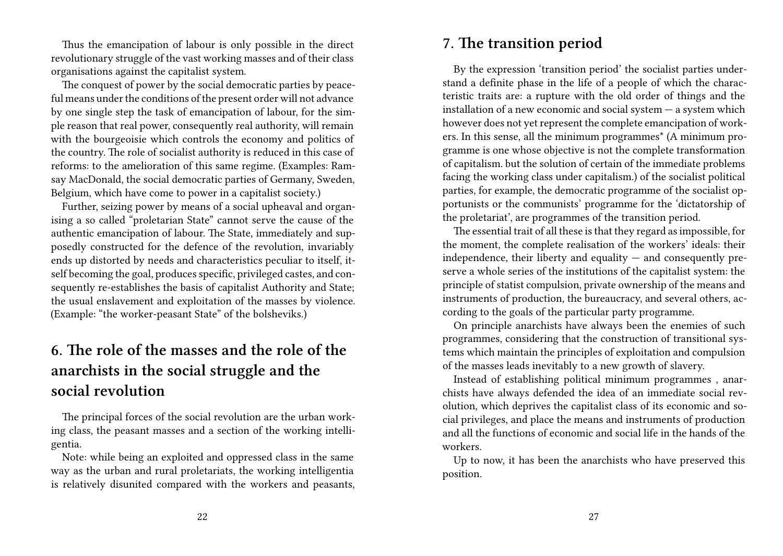Thus the emancipation of labour is only possible in the direct revolutionary struggle of the vast working masses and of their class organisations against the capitalist system.

The conquest of power by the social democratic parties by peaceful means under the conditions of the present order will not advance by one single step the task of emancipation of labour, for the simple reason that real power, consequently real authority, will remain with the bourgeoisie which controls the economy and politics of the country. The role of socialist authority is reduced in this case of reforms: to the amelioration of this same regime. (Examples: Ramsay MacDonald, the social democratic parties of Germany, Sweden, Belgium, which have come to power in a capitalist society.)

Further, seizing power by means of a social upheaval and organising a so called "proletarian State" cannot serve the cause of the authentic emancipation of labour. The State, immediately and supposedly constructed for the defence of the revolution, invariably ends up distorted by needs and characteristics peculiar to itself, itself becoming the goal, produces specific, privileged castes, and consequently re-establishes the basis of capitalist Authority and State; the usual enslavement and exploitation of the masses by violence. (Example: "the worker-peasant State" of the bolsheviks.)

## **6. The role of the masses and the role of the anarchists in the social struggle and the social revolution**

The principal forces of the social revolution are the urban working class, the peasant masses and a section of the working intelligentia.

Note: while being an exploited and oppressed class in the same way as the urban and rural proletariats, the working intelligentia is relatively disunited compared with the workers and peasants,

#### **7. The transition period**

By the expression 'transition period' the socialist parties understand a definite phase in the life of a people of which the characteristic traits are: a rupture with the old order of things and the installation of a new economic and social system  $-$  a system which however does not yet represent the complete emancipation of workers. In this sense, all the minimum programmes\* (A minimum programme is one whose objective is not the complete transformation of capitalism. but the solution of certain of the immediate problems facing the working class under capitalism.) of the socialist political parties, for example, the democratic programme of the socialist opportunists or the communists' programme for the 'dictatorship of the proletariat', are programmes of the transition period.

The essential trait of all these is that they regard as impossible, for the moment, the complete realisation of the workers' ideals: their independence, their liberty and equality  $-$  and consequently preserve a whole series of the institutions of the capitalist system: the principle of statist compulsion, private ownership of the means and instruments of production, the bureaucracy, and several others, according to the goals of the particular party programme.

On principle anarchists have always been the enemies of such programmes, considering that the construction of transitional systems which maintain the principles of exploitation and compulsion of the masses leads inevitably to a new growth of slavery.

Instead of establishing political minimum programmes , anarchists have always defended the idea of an immediate social revolution, which deprives the capitalist class of its economic and social privileges, and place the means and instruments of production and all the functions of economic and social life in the hands of the workers.

Up to now, it has been the anarchists who have preserved this position.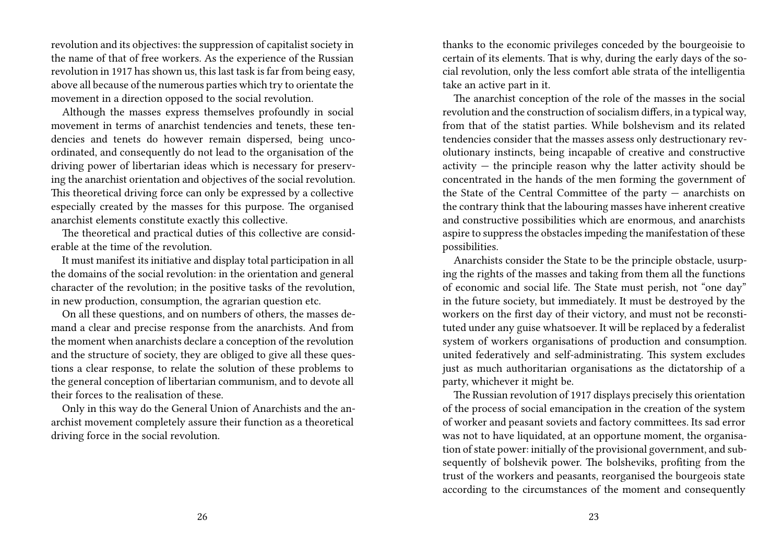revolution and its objectives: the suppression of capitalist society in the name of that of free workers. As the experience of the Russian revolution in 1917 has shown us, this last task is far from being easy, above all because of the numerous parties which try to orientate the movement in a direction opposed to the social revolution.

Although the masses express themselves profoundly in social movement in terms of anarchist tendencies and tenets, these tendencies and tenets do however remain dispersed, being uncoordinated, and consequently do not lead to the organisation of the driving power of libertarian ideas which is necessary for preserving the anarchist orientation and objectives of the social revolution. This theoretical driving force can only be expressed by a collective especially created by the masses for this purpose. The organised anarchist elements constitute exactly this collective.

The theoretical and practical duties of this collective are considerable at the time of the revolution.

It must manifest its initiative and display total participation in all the domains of the social revolution: in the orientation and general character of the revolution; in the positive tasks of the revolution, in new production, consumption, the agrarian question etc.

On all these questions, and on numbers of others, the masses demand a clear and precise response from the anarchists. And from the moment when anarchists declare a conception of the revolution and the structure of society, they are obliged to give all these questions a clear response, to relate the solution of these problems to the general conception of libertarian communism, and to devote all their forces to the realisation of these.

Only in this way do the General Union of Anarchists and the anarchist movement completely assure their function as a theoretical driving force in the social revolution.

thanks to the economic privileges conceded by the bourgeoisie to certain of its elements. That is why, during the early days of the social revolution, only the less comfort able strata of the intelligentia take an active part in it.

The anarchist conception of the role of the masses in the social revolution and the construction of socialism differs, in a typical way, from that of the statist parties. While bolshevism and its related tendencies consider that the masses assess only destructionary revolutionary instincts, being incapable of creative and constructive activity  $-$  the principle reason why the latter activity should be concentrated in the hands of the men forming the government of the State of the Central Committee of the party — anarchists on the contrary think that the labouring masses have inherent creative and constructive possibilities which are enormous, and anarchists aspire to suppress the obstacles impeding the manifestation of these possibilities.

Anarchists consider the State to be the principle obstacle, usurping the rights of the masses and taking from them all the functions of economic and social life. The State must perish, not "one day" in the future society, but immediately. It must be destroyed by the workers on the first day of their victory, and must not be reconstituted under any guise whatsoever. It will be replaced by a federalist system of workers organisations of production and consumption. united federatively and self-administrating. This system excludes just as much authoritarian organisations as the dictatorship of a party, whichever it might be.

The Russian revolution of 1917 displays precisely this orientation of the process of social emancipation in the creation of the system of worker and peasant soviets and factory committees. Its sad error was not to have liquidated, at an opportune moment, the organisation of state power: initially of the provisional government, and subsequently of bolshevik power. The bolsheviks, profiting from the trust of the workers and peasants, reorganised the bourgeois state according to the circumstances of the moment and consequently